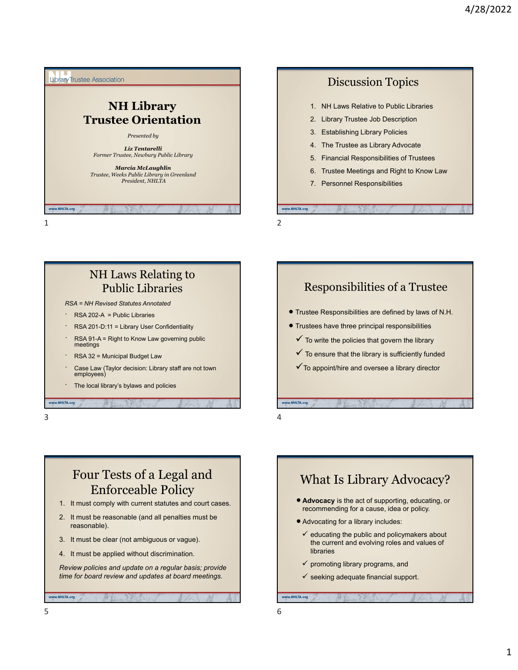





## Four Tests of a Legal and Enforceable Policy

- 1. It must comply with current statutes and court cases.
- 2. It must be reasonable (and all penalties must be reasonable).
- 3. It must be clear (not ambiguous or vague).
- 4. It must be applied without discrimination.

*Review policies and update on a regular basis; provide time for board review and updates at board meetings.*



- the current and evolving roles and values of libraries
- $\checkmark$  promoting library programs, and

www.NHLTA.org

 $\checkmark$  seeking adequate financial support.

w.NHLTA.org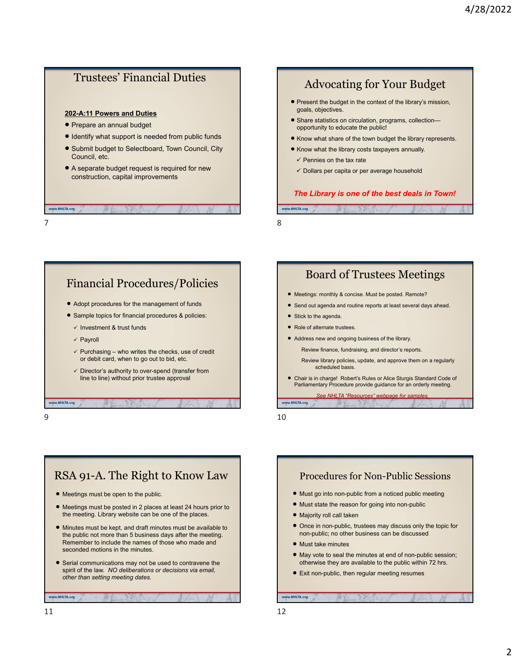### Trustees' Financial Duties

#### **202-A:11 Powers and Duties**

- Prepare an annual budget
- $\bullet$  Identify what support is needed from public funds
- Submit budget to Selectboard, Town Council, City Council, etc.
- A separate budget request is required for new construction, capital improvements

## Advocating for Your Budget

- **Present the budget in the context of the library's mission,** goals, objectives.
- **Share statistics on circulation, programs, collection** opportunity to educate the public!
- **Know what share of the town budget the library represents.**
- Know what the library costs taxpayers annually.
	- $\checkmark$  Pennies on the tax rate
	- $\checkmark$  Dollars per capita or per average household

#### *The Library is one of the best deals in Town!*

 $7$ 

## Financial Procedures/Policies

- Adopt procedures for the management of funds
- Sample topics for financial procedures & policies:
	- $\checkmark$  Investment & trust funds
	- $\checkmark$  Payroll

w.NHLTA.org

- $\checkmark$  Purchasing who writes the checks, use of credit or debit card, when to go out to bid, etc.
- $\checkmark$  Director's authority to over-spend (transfer from line to line) without prior trustee approval
- 

www.NHLTA.org

### Board of Trustees Meetings

- Meetings: monthly & concise. Must be posted. Remote?
- Send out agenda and routine reports at least several days ahead.
- Stick to the agenda.

NHLTA.org

- Role of alternate trustees.
- Address new and ongoing business of the library.

Review finance, fundraising, and director's reports.

Review library policies, update, and approve them on a regularly scheduled basis.

 Chair is in charge! Robert's Rules or Alice Sturgis Standard Code of Parliamentary Procedure provide guidance for an orderly meeting.

*See NHLTA "Resources" webpage for samples.* www.NHLTA.org

 $9 \hspace{2.5cm} 10$ 

## RSA 91-A. The Right to Know Law

- Meetings must be open to the public.
- Meetings must be posted in 2 places at least 24 hours prior to the meeting. Library website can be one of the places.
- Minutes must be kept, and draft minutes must be *available* to the public not more than 5 business days after the meeting. Remember to include the names of those who made and seconded motions in the minutes.
- Serial communications may not be used to contravene the spirit of the law. *NO deliberations or decisions via email, other than setting meeting dates.*

### Procedures for Non-Public Sessions Must go into non-public from a noticed public meeting

- Must state the reason for going into non-public
- Majority roll call taken
- Once in non-public, trustees may discuss only the topic for non-public; no other business can be discussed
- Must take minutes
- May vote to seal the minutes at end of non-public session; otherwise they are available to the public within 72 hrs.
- Exit non-public, then regular meeting resumes

www.NHLTA.org

www.NHLTA.org